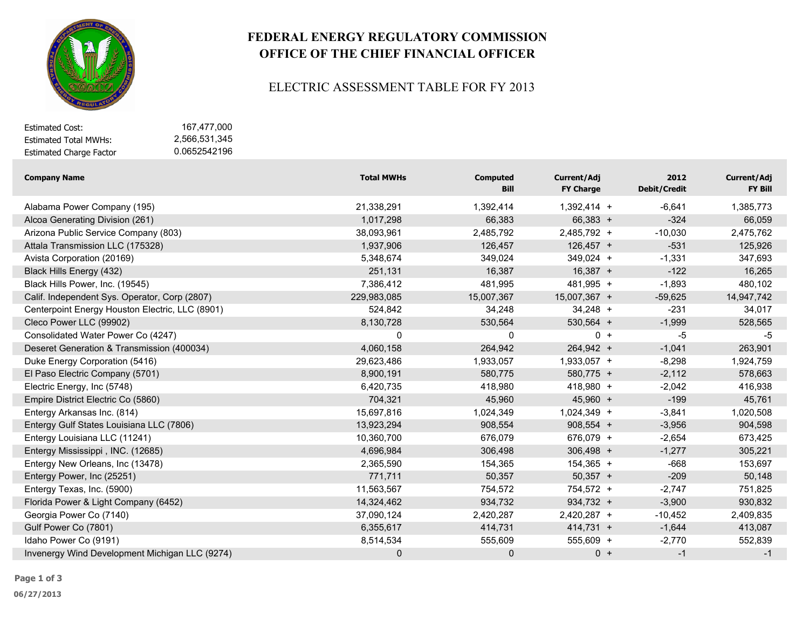

# **FEDERAL ENERGY REGULATORY COMMISSION OFFICE OF THE CHIEF FINANCIAL OFFICER**

#### ELECTRIC ASSESSMENT TABLE FOR FY 2013

| Estimated Cost:                | 167.477.000   |
|--------------------------------|---------------|
| Estimated Total MWHs:          | 2.566.531.345 |
| <b>Estimated Charge Factor</b> | 0.0652542196  |

| <b>Company Name</b>                             | <b>Total MWHs</b> | <b>Computed</b><br><b>Bill</b> | Current/Adj<br><b>FY Charge</b> | 2012<br><b>Debit/Credit</b> | Current/Adj<br>FY Bill |
|-------------------------------------------------|-------------------|--------------------------------|---------------------------------|-----------------------------|------------------------|
| Alabama Power Company (195)                     | 21,338,291        | 1,392,414                      | $1,392,414 +$                   | $-6,641$                    | 1,385,773              |
| Alcoa Generating Division (261)                 | 1,017,298         | 66,383                         | $66,383 +$                      | $-324$                      | 66,059                 |
| Arizona Public Service Company (803)            | 38,093,961        | 2,485,792                      | 2,485,792 +                     | $-10,030$                   | 2,475,762              |
| Attala Transmission LLC (175328)                | 1,937,906         | 126,457                        | $126,457 +$                     | $-531$                      | 125,926                |
| Avista Corporation (20169)                      | 5,348,674         | 349,024                        | 349,024 +                       | $-1,331$                    | 347,693                |
| Black Hills Energy (432)                        | 251,131           | 16,387                         | $16,387 +$                      | $-122$                      | 16,265                 |
| Black Hills Power, Inc. (19545)                 | 7,386,412         | 481,995                        | 481,995 +                       | $-1,893$                    | 480,102                |
| Calif. Independent Sys. Operator, Corp (2807)   | 229,983,085       | 15,007,367                     | 15,007,367 +                    | $-59,625$                   | 14,947,742             |
| Centerpoint Energy Houston Electric, LLC (8901) | 524,842           | 34,248                         | $34,248 +$                      | $-231$                      | 34,017                 |
| Cleco Power LLC (99902)                         | 8,130,728         | 530,564                        | $530,564 +$                     | $-1,999$                    | 528,565                |
| Consolidated Water Power Co (4247)              | 0                 | 0                              | $0 +$                           | -5                          | -5                     |
| Deseret Generation & Transmission (400034)      | 4,060,158         | 264,942                        | 264,942 +                       | $-1,041$                    | 263,901                |
| Duke Energy Corporation (5416)                  | 29,623,486        | 1,933,057                      | $1,933,057 +$                   | $-8,298$                    | 1,924,759              |
| El Paso Electric Company (5701)                 | 8,900,191         | 580,775                        | 580,775 +                       | $-2,112$                    | 578,663                |
| Electric Energy, Inc (5748)                     | 6,420,735         | 418,980                        | $418,980 +$                     | $-2,042$                    | 416,938                |
| Empire District Electric Co (5860)              | 704,321           | 45,960                         | $45,960 +$                      | $-199$                      | 45,761                 |
| Entergy Arkansas Inc. (814)                     | 15,697,816        | 1,024,349                      | 1,024,349 +                     | $-3,841$                    | 1,020,508              |
| Entergy Gulf States Louisiana LLC (7806)        | 13,923,294        | 908,554                        | $908,554 +$                     | $-3,956$                    | 904,598                |
| Entergy Louisiana LLC (11241)                   | 10,360,700        | 676,079                        | 676,079 +                       | $-2,654$                    | 673,425                |
| Entergy Mississippi, INC. (12685)               | 4,696,984         | 306,498                        | $306,498 +$                     | $-1,277$                    | 305,221                |
| Entergy New Orleans, Inc (13478)                | 2,365,590         | 154,365                        | $154,365 +$                     | $-668$                      | 153,697                |
| Entergy Power, Inc (25251)                      | 771,711           | 50,357                         | $50,357 +$                      | $-209$                      | 50,148                 |
| Entergy Texas, Inc. (5900)                      | 11,563,567        | 754,572                        | 754,572 +                       | $-2,747$                    | 751,825                |
| Florida Power & Light Company (6452)            | 14,324,462        | 934,732                        | $934,732 +$                     | $-3,900$                    | 930,832                |
| Georgia Power Co (7140)                         | 37,090,124        | 2,420,287                      | 2,420,287 +                     | $-10,452$                   | 2,409,835              |
| Gulf Power Co (7801)                            | 6,355,617         | 414,731                        | $414,731 +$                     | $-1,644$                    | 413,087                |
| Idaho Power Co (9191)                           | 8,514,534         | 555,609                        | 555,609 +                       | $-2,770$                    | 552,839                |
| Invenergy Wind Development Michigan LLC (9274)  | 0                 | 0                              | $0 +$                           | $-1$                        | $-1$                   |

**06/27/2013**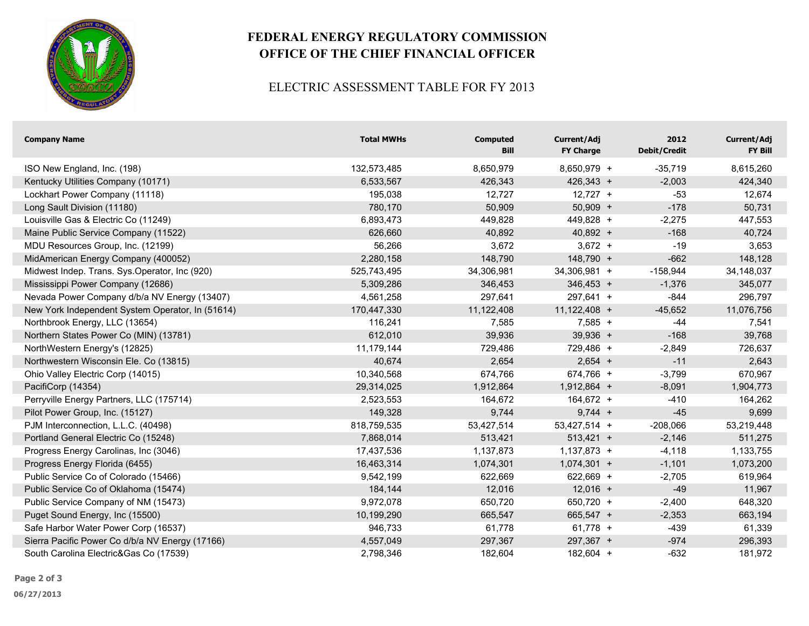

# **FEDERAL ENERGY REGULATORY COMMISSION OFFICE OF THE CHIEF FINANCIAL OFFICER**

### ELECTRIC ASSESSMENT TABLE FOR FY 2013

| <b>Company Name</b>                              | <b>Total MWHs</b> | <b>Computed</b><br>Bill | Current/Adj<br><b>FY Charge</b> | 2012<br><b>Debit/Credit</b> | Current/Adj<br>FY Bill |
|--------------------------------------------------|-------------------|-------------------------|---------------------------------|-----------------------------|------------------------|
| ISO New England, Inc. (198)                      | 132,573,485       | 8,650,979               | 8,650,979 +                     | $-35,719$                   | 8,615,260              |
| Kentucky Utilities Company (10171)               | 6,533,567         | 426,343                 | $426,343 +$                     | $-2,003$                    | 424,340                |
| Lockhart Power Company (11118)                   | 195,038           | 12,727                  | $12,727 +$                      | $-53$                       | 12,674                 |
| Long Sault Division (11180)                      | 780,170           | 50,909                  | $50,909 +$                      | $-178$                      | 50,731                 |
| Louisville Gas & Electric Co (11249)             | 6,893,473         | 449,828                 | 449,828 +                       | $-2,275$                    | 447,553                |
| Maine Public Service Company (11522)             | 626,660           | 40,892                  | $40,892 +$                      | $-168$                      | 40,724                 |
| MDU Resources Group, Inc. (12199)                | 56,266            | 3,672                   | $3,672 +$                       | $-19$                       | 3,653                  |
| MidAmerican Energy Company (400052)              | 2,280,158         | 148,790                 | 148,790 +                       | $-662$                      | 148,128                |
| Midwest Indep. Trans. Sys.Operator, Inc (920)    | 525,743,495       | 34,306,981              | 34,306,981 +                    | $-158,944$                  | 34,148,037             |
| Mississippi Power Company (12686)                | 5,309,286         | 346,453                 | $346,453 +$                     | $-1,376$                    | 345,077                |
| Nevada Power Company d/b/a NV Energy (13407)     | 4,561,258         | 297,641                 | $297,641 +$                     | $-844$                      | 296,797                |
| New York Independent System Operator, In (51614) | 170,447,330       | 11,122,408              | $11,122,408 +$                  | $-45,652$                   | 11,076,756             |
| Northbrook Energy, LLC (13654)                   | 116,241           | 7,585                   | $7,585 +$                       | $-44$                       | 7,541                  |
| Northern States Power Co (MIN) (13781)           | 612,010           | 39,936                  | $39,936 +$                      | $-168$                      | 39,768                 |
| NorthWestern Energy's (12825)                    | 11,179,144        | 729,486                 | 729,486 +                       | $-2,849$                    | 726,637                |
| Northwestern Wisconsin Ele. Co (13815)           | 40,674            | 2,654                   | $2,654 +$                       | $-11$                       | 2,643                  |
| Ohio Valley Electric Corp (14015)                | 10,340,568        | 674,766                 | 674,766 +                       | $-3,799$                    | 670,967                |
| PacifiCorp (14354)                               | 29,314,025        | 1,912,864               | $1,912,864 +$                   | $-8,091$                    | 1,904,773              |
| Perryville Energy Partners, LLC (175714)         | 2,523,553         | 164,672                 | $164,672 +$                     | $-410$                      | 164,262                |
| Pilot Power Group, Inc. (15127)                  | 149,328           | 9,744                   | $9,744 +$                       | $-45$                       | 9,699                  |
| PJM Interconnection, L.L.C. (40498)              | 818,759,535       | 53,427,514              | 53,427,514 +                    | $-208,066$                  | 53,219,448             |
| Portland General Electric Co (15248)             | 7,868,014         | 513,421                 | $513,421 +$                     | $-2,146$                    | 511,275                |
| Progress Energy Carolinas, Inc (3046)            | 17,437,536        | 1,137,873               | $1,137,873 +$                   | $-4,118$                    | 1,133,755              |
| Progress Energy Florida (6455)                   | 16,463,314        | 1,074,301               | $1,074,301 +$                   | $-1,101$                    | 1,073,200              |
| Public Service Co of Colorado (15466)            | 9,542,199         | 622,669                 | 622,669 +                       | $-2,705$                    | 619,964                |
| Public Service Co of Oklahoma (15474)            | 184,144           | 12,016                  | $12,016 +$                      | $-49$                       | 11,967                 |
| Public Service Company of NM (15473)             | 9,972,078         | 650,720                 | 650,720 +                       | $-2,400$                    | 648,320                |
| Puget Sound Energy, Inc (15500)                  | 10,199,290        | 665,547                 | 665,547 +                       | $-2,353$                    | 663,194                |
| Safe Harbor Water Power Corp (16537)             | 946,733           | 61,778                  | $61,778 +$                      | $-439$                      | 61,339                 |
| Sierra Pacific Power Co d/b/a NV Energy (17166)  | 4,557,049         | 297,367                 | 297,367 +                       | $-974$                      | 296,393                |
| South Carolina Electric&Gas Co (17539)           | 2,798,346         | 182,604                 | 182,604 +                       | $-632$                      | 181,972                |

**Page 2 of 3**

**06/27/2013**